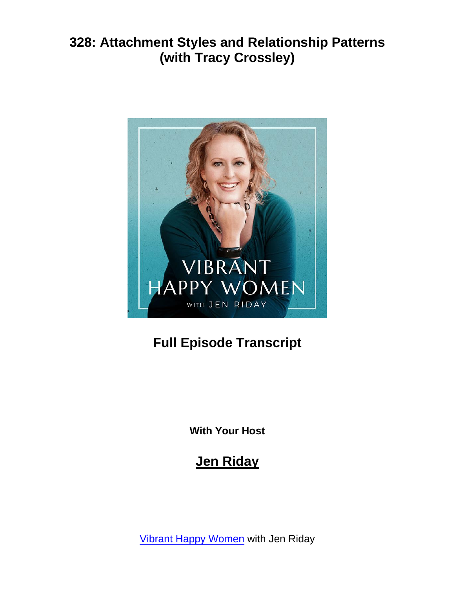

# **Full Episode Transcript**

**With Your Host**

## **Jen Riday**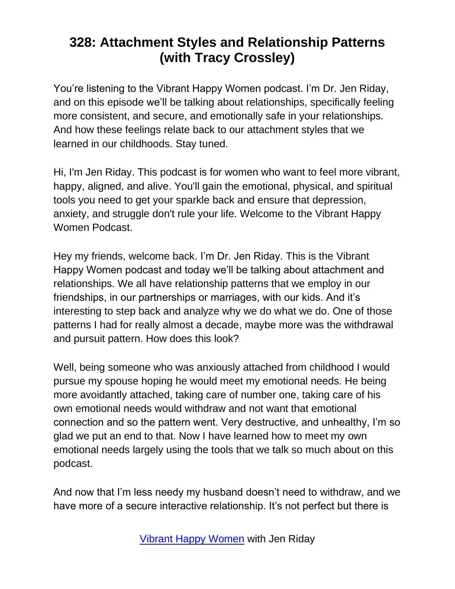You're listening to the Vibrant Happy Women podcast. I'm Dr. Jen Riday, and on this episode we'll be talking about relationships, specifically feeling more consistent, and secure, and emotionally safe in your relationships. And how these feelings relate back to our attachment styles that we learned in our childhoods. Stay tuned.

Hi, I'm Jen Riday. This podcast is for women who want to feel more vibrant, happy, aligned, and alive. You'll gain the emotional, physical, and spiritual tools you need to get your sparkle back and ensure that depression, anxiety, and struggle don't rule your life. Welcome to the Vibrant Happy Women Podcast.

Hey my friends, welcome back. I'm Dr. Jen Riday. This is the Vibrant Happy Women podcast and today we'll be talking about attachment and relationships. We all have relationship patterns that we employ in our friendships, in our partnerships or marriages, with our kids. And it's interesting to step back and analyze why we do what we do. One of those patterns I had for really almost a decade, maybe more was the withdrawal and pursuit pattern. How does this look?

Well, being someone who was anxiously attached from childhood I would pursue my spouse hoping he would meet my emotional needs. He being more avoidantly attached, taking care of number one, taking care of his own emotional needs would withdraw and not want that emotional connection and so the pattern went. Very destructive, and unhealthy, I'm so glad we put an end to that. Now I have learned how to meet my own emotional needs largely using the tools that we talk so much about on this podcast.

And now that I'm less needy my husband doesn't need to withdraw, and we have more of a secure interactive relationship. It's not perfect but there is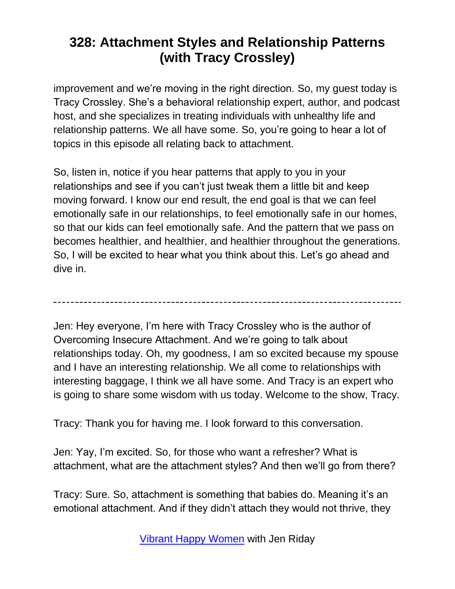improvement and we're moving in the right direction. So, my guest today is Tracy Crossley. She's a behavioral relationship expert, author, and podcast host, and she specializes in treating individuals with unhealthy life and relationship patterns. We all have some. So, you're going to hear a lot of topics in this episode all relating back to attachment.

So, listen in, notice if you hear patterns that apply to you in your relationships and see if you can't just tweak them a little bit and keep moving forward. I know our end result, the end goal is that we can feel emotionally safe in our relationships, to feel emotionally safe in our homes, so that our kids can feel emotionally safe. And the pattern that we pass on becomes healthier, and healthier, and healthier throughout the generations. So, I will be excited to hear what you think about this. Let's go ahead and dive in.

Jen: Hey everyone, I'm here with Tracy Crossley who is the author of Overcoming Insecure Attachment. And we're going to talk about relationships today. Oh, my goodness, I am so excited because my spouse and I have an interesting relationship. We all come to relationships with interesting baggage, I think we all have some. And Tracy is an expert who is going to share some wisdom with us today. Welcome to the show, Tracy.

Tracy: Thank you for having me. I look forward to this conversation.

Jen: Yay, I'm excited. So, for those who want a refresher? What is attachment, what are the attachment styles? And then we'll go from there?

Tracy: Sure. So, attachment is something that babies do. Meaning it's an emotional attachment. And if they didn't attach they would not thrive, they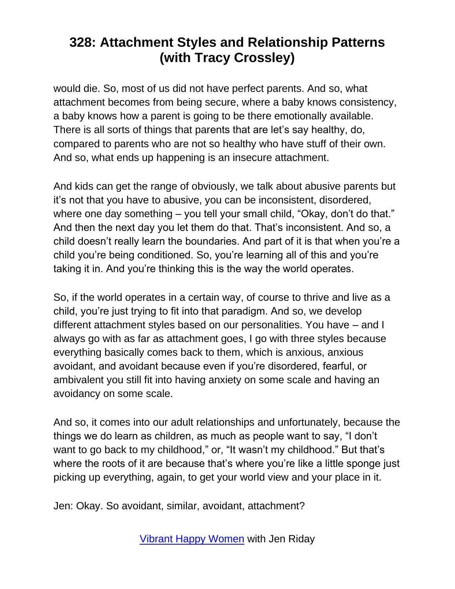would die. So, most of us did not have perfect parents. And so, what attachment becomes from being secure, where a baby knows consistency, a baby knows how a parent is going to be there emotionally available. There is all sorts of things that parents that are let's say healthy, do, compared to parents who are not so healthy who have stuff of their own. And so, what ends up happening is an insecure attachment.

And kids can get the range of obviously, we talk about abusive parents but it's not that you have to abusive, you can be inconsistent, disordered, where one day something – you tell your small child, "Okay, don't do that." And then the next day you let them do that. That's inconsistent. And so, a child doesn't really learn the boundaries. And part of it is that when you're a child you're being conditioned. So, you're learning all of this and you're taking it in. And you're thinking this is the way the world operates.

So, if the world operates in a certain way, of course to thrive and live as a child, you're just trying to fit into that paradigm. And so, we develop different attachment styles based on our personalities. You have – and I always go with as far as attachment goes, I go with three styles because everything basically comes back to them, which is anxious, anxious avoidant, and avoidant because even if you're disordered, fearful, or ambivalent you still fit into having anxiety on some scale and having an avoidancy on some scale.

And so, it comes into our adult relationships and unfortunately, because the things we do learn as children, as much as people want to say, "I don't want to go back to my childhood," or, "It wasn't my childhood." But that's where the roots of it are because that's where you're like a little sponge just picking up everything, again, to get your world view and your place in it.

Jen: Okay. So avoidant, similar, avoidant, attachment?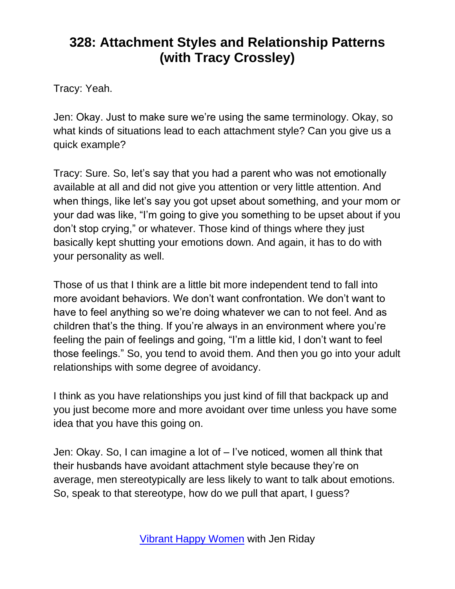Tracy: Yeah.

Jen: Okay. Just to make sure we're using the same terminology. Okay, so what kinds of situations lead to each attachment style? Can you give us a quick example?

Tracy: Sure. So, let's say that you had a parent who was not emotionally available at all and did not give you attention or very little attention. And when things, like let's say you got upset about something, and your mom or your dad was like, "I'm going to give you something to be upset about if you don't stop crying," or whatever. Those kind of things where they just basically kept shutting your emotions down. And again, it has to do with your personality as well.

Those of us that I think are a little bit more independent tend to fall into more avoidant behaviors. We don't want confrontation. We don't want to have to feel anything so we're doing whatever we can to not feel. And as children that's the thing. If you're always in an environment where you're feeling the pain of feelings and going, "I'm a little kid, I don't want to feel those feelings." So, you tend to avoid them. And then you go into your adult relationships with some degree of avoidancy.

I think as you have relationships you just kind of fill that backpack up and you just become more and more avoidant over time unless you have some idea that you have this going on.

Jen: Okay. So, I can imagine a lot of – I've noticed, women all think that their husbands have avoidant attachment style because they're on average, men stereotypically are less likely to want to talk about emotions. So, speak to that stereotype, how do we pull that apart, I guess?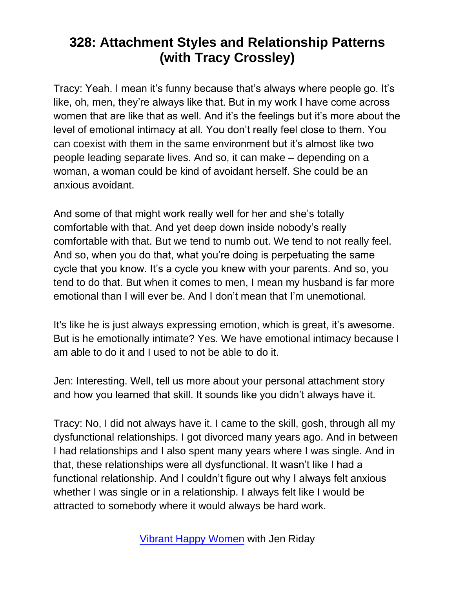Tracy: Yeah. I mean it's funny because that's always where people go. It's like, oh, men, they're always like that. But in my work I have come across women that are like that as well. And it's the feelings but it's more about the level of emotional intimacy at all. You don't really feel close to them. You can coexist with them in the same environment but it's almost like two people leading separate lives. And so, it can make – depending on a woman, a woman could be kind of avoidant herself. She could be an anxious avoidant.

And some of that might work really well for her and she's totally comfortable with that. And yet deep down inside nobody's really comfortable with that. But we tend to numb out. We tend to not really feel. And so, when you do that, what you're doing is perpetuating the same cycle that you know. It's a cycle you knew with your parents. And so, you tend to do that. But when it comes to men, I mean my husband is far more emotional than I will ever be. And I don't mean that I'm unemotional.

It's like he is just always expressing emotion, which is great, it's awesome. But is he emotionally intimate? Yes. We have emotional intimacy because I am able to do it and I used to not be able to do it.

Jen: Interesting. Well, tell us more about your personal attachment story and how you learned that skill. It sounds like you didn't always have it.

Tracy: No, I did not always have it. I came to the skill, gosh, through all my dysfunctional relationships. I got divorced many years ago. And in between I had relationships and I also spent many years where I was single. And in that, these relationships were all dysfunctional. It wasn't like I had a functional relationship. And I couldn't figure out why I always felt anxious whether I was single or in a relationship. I always felt like I would be attracted to somebody where it would always be hard work.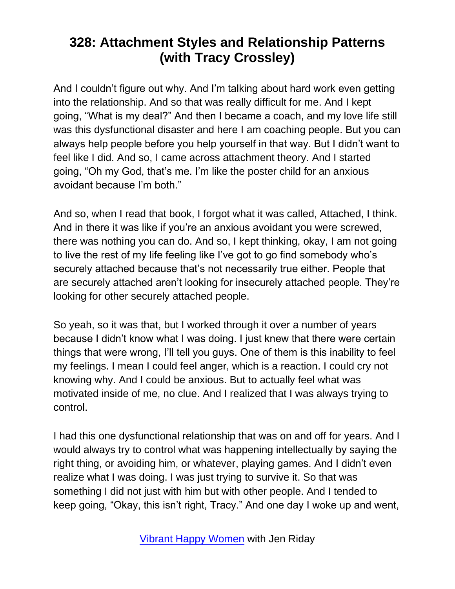And I couldn't figure out why. And I'm talking about hard work even getting into the relationship. And so that was really difficult for me. And I kept going, "What is my deal?" And then I became a coach, and my love life still was this dysfunctional disaster and here I am coaching people. But you can always help people before you help yourself in that way. But I didn't want to feel like I did. And so, I came across attachment theory. And I started going, "Oh my God, that's me. I'm like the poster child for an anxious avoidant because I'm both."

And so, when I read that book, I forgot what it was called, Attached, I think. And in there it was like if you're an anxious avoidant you were screwed, there was nothing you can do. And so, I kept thinking, okay, I am not going to live the rest of my life feeling like I've got to go find somebody who's securely attached because that's not necessarily true either. People that are securely attached aren't looking for insecurely attached people. They're looking for other securely attached people.

So yeah, so it was that, but I worked through it over a number of years because I didn't know what I was doing. I just knew that there were certain things that were wrong, I'll tell you guys. One of them is this inability to feel my feelings. I mean I could feel anger, which is a reaction. I could cry not knowing why. And I could be anxious. But to actually feel what was motivated inside of me, no clue. And I realized that I was always trying to control.

I had this one dysfunctional relationship that was on and off for years. And I would always try to control what was happening intellectually by saying the right thing, or avoiding him, or whatever, playing games. And I didn't even realize what I was doing. I was just trying to survive it. So that was something I did not just with him but with other people. And I tended to keep going, "Okay, this isn't right, Tracy." And one day I woke up and went,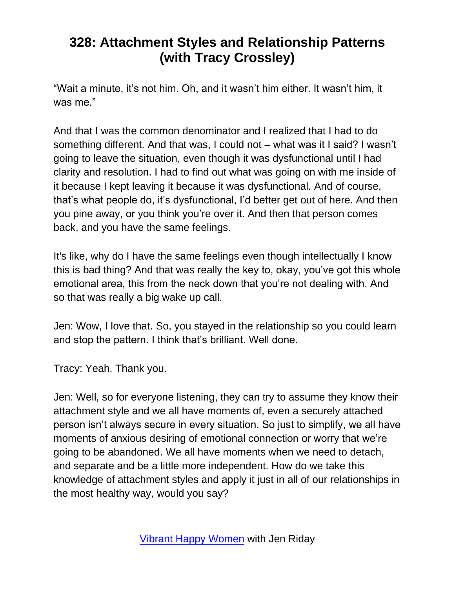"Wait a minute, it's not him. Oh, and it wasn't him either. It wasn't him, it was me."

And that I was the common denominator and I realized that I had to do something different. And that was, I could not – what was it I said? I wasn't going to leave the situation, even though it was dysfunctional until I had clarity and resolution. I had to find out what was going on with me inside of it because I kept leaving it because it was dysfunctional. And of course, that's what people do, it's dysfunctional, I'd better get out of here. And then you pine away, or you think you're over it. And then that person comes back, and you have the same feelings.

It's like, why do I have the same feelings even though intellectually I know this is bad thing? And that was really the key to, okay, you've got this whole emotional area, this from the neck down that you're not dealing with. And so that was really a big wake up call.

Jen: Wow, I love that. So, you stayed in the relationship so you could learn and stop the pattern. I think that's brilliant. Well done.

Tracy: Yeah. Thank you.

Jen: Well, so for everyone listening, they can try to assume they know their attachment style and we all have moments of, even a securely attached person isn't always secure in every situation. So just to simplify, we all have moments of anxious desiring of emotional connection or worry that we're going to be abandoned. We all have moments when we need to detach, and separate and be a little more independent. How do we take this knowledge of attachment styles and apply it just in all of our relationships in the most healthy way, would you say?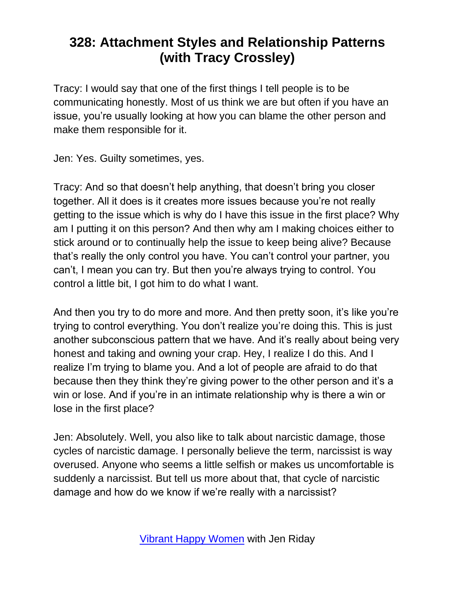Tracy: I would say that one of the first things I tell people is to be communicating honestly. Most of us think we are but often if you have an issue, you're usually looking at how you can blame the other person and make them responsible for it.

Jen: Yes. Guilty sometimes, yes.

Tracy: And so that doesn't help anything, that doesn't bring you closer together. All it does is it creates more issues because you're not really getting to the issue which is why do I have this issue in the first place? Why am I putting it on this person? And then why am I making choices either to stick around or to continually help the issue to keep being alive? Because that's really the only control you have. You can't control your partner, you can't, I mean you can try. But then you're always trying to control. You control a little bit, I got him to do what I want.

And then you try to do more and more. And then pretty soon, it's like you're trying to control everything. You don't realize you're doing this. This is just another subconscious pattern that we have. And it's really about being very honest and taking and owning your crap. Hey, I realize I do this. And I realize I'm trying to blame you. And a lot of people are afraid to do that because then they think they're giving power to the other person and it's a win or lose. And if you're in an intimate relationship why is there a win or lose in the first place?

Jen: Absolutely. Well, you also like to talk about narcistic damage, those cycles of narcistic damage. I personally believe the term, narcissist is way overused. Anyone who seems a little selfish or makes us uncomfortable is suddenly a narcissist. But tell us more about that, that cycle of narcistic damage and how do we know if we're really with a narcissist?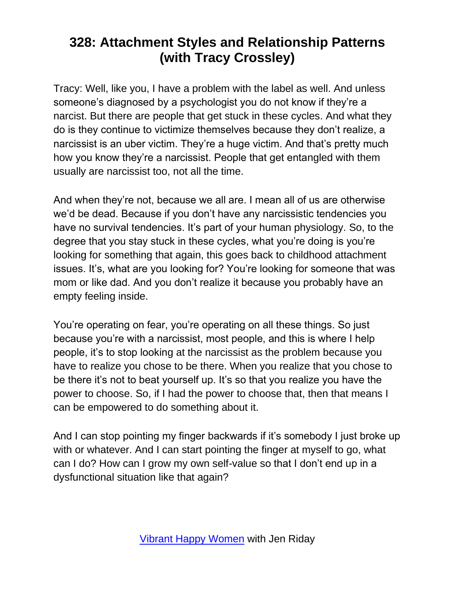Tracy: Well, like you, I have a problem with the label as well. And unless someone's diagnosed by a psychologist you do not know if they're a narcist. But there are people that get stuck in these cycles. And what they do is they continue to victimize themselves because they don't realize, a narcissist is an uber victim. They're a huge victim. And that's pretty much how you know they're a narcissist. People that get entangled with them usually are narcissist too, not all the time.

And when they're not, because we all are. I mean all of us are otherwise we'd be dead. Because if you don't have any narcissistic tendencies you have no survival tendencies. It's part of your human physiology. So, to the degree that you stay stuck in these cycles, what you're doing is you're looking for something that again, this goes back to childhood attachment issues. It's, what are you looking for? You're looking for someone that was mom or like dad. And you don't realize it because you probably have an empty feeling inside.

You're operating on fear, you're operating on all these things. So just because you're with a narcissist, most people, and this is where I help people, it's to stop looking at the narcissist as the problem because you have to realize you chose to be there. When you realize that you chose to be there it's not to beat yourself up. It's so that you realize you have the power to choose. So, if I had the power to choose that, then that means I can be empowered to do something about it.

And I can stop pointing my finger backwards if it's somebody I just broke up with or whatever. And I can start pointing the finger at myself to go, what can I do? How can I grow my own self-value so that I don't end up in a dysfunctional situation like that again?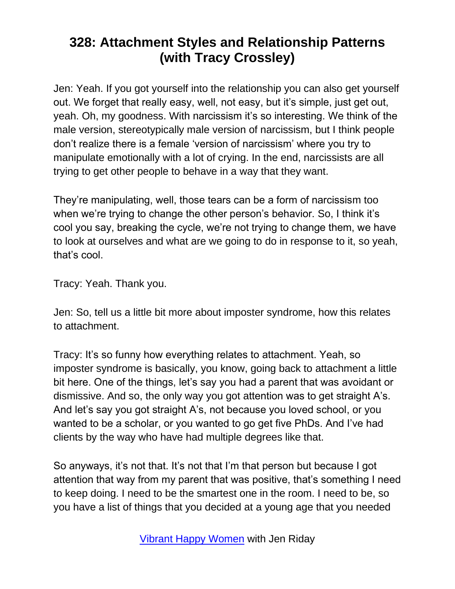Jen: Yeah. If you got yourself into the relationship you can also get yourself out. We forget that really easy, well, not easy, but it's simple, just get out, yeah. Oh, my goodness. With narcissism it's so interesting. We think of the male version, stereotypically male version of narcissism, but I think people don't realize there is a female 'version of narcissism' where you try to manipulate emotionally with a lot of crying. In the end, narcissists are all trying to get other people to behave in a way that they want.

They're manipulating, well, those tears can be a form of narcissism too when we're trying to change the other person's behavior. So, I think it's cool you say, breaking the cycle, we're not trying to change them, we have to look at ourselves and what are we going to do in response to it, so yeah, that's cool.

Tracy: Yeah. Thank you.

Jen: So, tell us a little bit more about imposter syndrome, how this relates to attachment.

Tracy: It's so funny how everything relates to attachment. Yeah, so imposter syndrome is basically, you know, going back to attachment a little bit here. One of the things, let's say you had a parent that was avoidant or dismissive. And so, the only way you got attention was to get straight A's. And let's say you got straight A's, not because you loved school, or you wanted to be a scholar, or you wanted to go get five PhDs. And I've had clients by the way who have had multiple degrees like that.

So anyways, it's not that. It's not that I'm that person but because I got attention that way from my parent that was positive, that's something I need to keep doing. I need to be the smartest one in the room. I need to be, so you have a list of things that you decided at a young age that you needed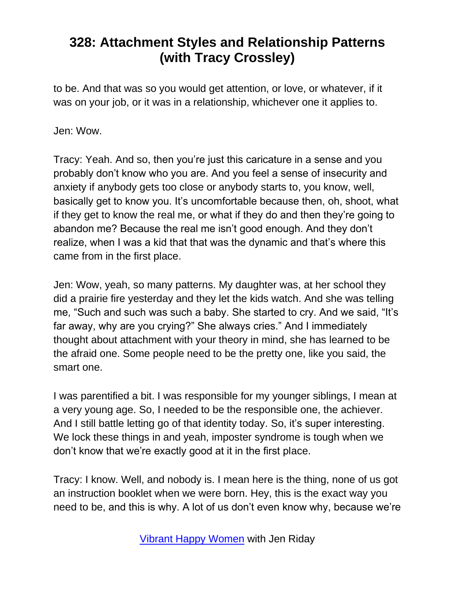to be. And that was so you would get attention, or love, or whatever, if it was on your job, or it was in a relationship, whichever one it applies to.

Jen: Wow.

Tracy: Yeah. And so, then you're just this caricature in a sense and you probably don't know who you are. And you feel a sense of insecurity and anxiety if anybody gets too close or anybody starts to, you know, well, basically get to know you. It's uncomfortable because then, oh, shoot, what if they get to know the real me, or what if they do and then they're going to abandon me? Because the real me isn't good enough. And they don't realize, when I was a kid that that was the dynamic and that's where this came from in the first place.

Jen: Wow, yeah, so many patterns. My daughter was, at her school they did a prairie fire yesterday and they let the kids watch. And she was telling me, "Such and such was such a baby. She started to cry. And we said, "It's far away, why are you crying?" She always cries." And I immediately thought about attachment with your theory in mind, she has learned to be the afraid one. Some people need to be the pretty one, like you said, the smart one.

I was parentified a bit. I was responsible for my younger siblings, I mean at a very young age. So, I needed to be the responsible one, the achiever. And I still battle letting go of that identity today. So, it's super interesting. We lock these things in and yeah, imposter syndrome is tough when we don't know that we're exactly good at it in the first place.

Tracy: I know. Well, and nobody is. I mean here is the thing, none of us got an instruction booklet when we were born. Hey, this is the exact way you need to be, and this is why. A lot of us don't even know why, because we're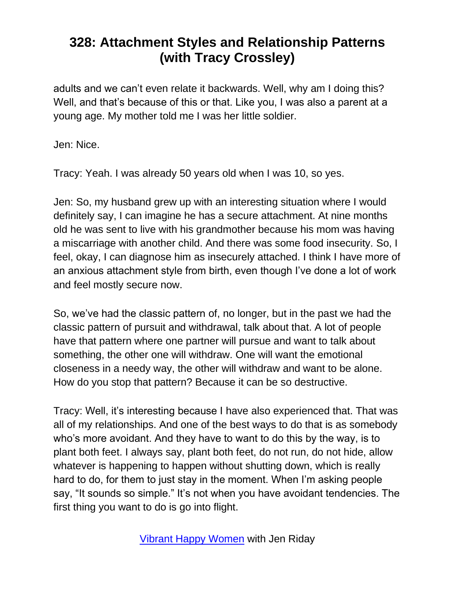adults and we can't even relate it backwards. Well, why am I doing this? Well, and that's because of this or that. Like you, I was also a parent at a young age. My mother told me I was her little soldier.

Jen: Nice.

Tracy: Yeah. I was already 50 years old when I was 10, so yes.

Jen: So, my husband grew up with an interesting situation where I would definitely say, I can imagine he has a secure attachment. At nine months old he was sent to live with his grandmother because his mom was having a miscarriage with another child. And there was some food insecurity. So, I feel, okay, I can diagnose him as insecurely attached. I think I have more of an anxious attachment style from birth, even though I've done a lot of work and feel mostly secure now.

So, we've had the classic pattern of, no longer, but in the past we had the classic pattern of pursuit and withdrawal, talk about that. A lot of people have that pattern where one partner will pursue and want to talk about something, the other one will withdraw. One will want the emotional closeness in a needy way, the other will withdraw and want to be alone. How do you stop that pattern? Because it can be so destructive.

Tracy: Well, it's interesting because I have also experienced that. That was all of my relationships. And one of the best ways to do that is as somebody who's more avoidant. And they have to want to do this by the way, is to plant both feet. I always say, plant both feet, do not run, do not hide, allow whatever is happening to happen without shutting down, which is really hard to do, for them to just stay in the moment. When I'm asking people say, "It sounds so simple." It's not when you have avoidant tendencies. The first thing you want to do is go into flight.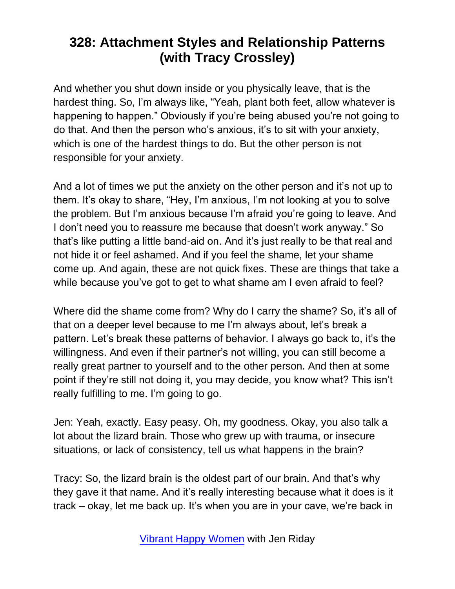And whether you shut down inside or you physically leave, that is the hardest thing. So, I'm always like, "Yeah, plant both feet, allow whatever is happening to happen." Obviously if you're being abused you're not going to do that. And then the person who's anxious, it's to sit with your anxiety, which is one of the hardest things to do. But the other person is not responsible for your anxiety.

And a lot of times we put the anxiety on the other person and it's not up to them. It's okay to share, "Hey, I'm anxious, I'm not looking at you to solve the problem. But I'm anxious because I'm afraid you're going to leave. And I don't need you to reassure me because that doesn't work anyway." So that's like putting a little band-aid on. And it's just really to be that real and not hide it or feel ashamed. And if you feel the shame, let your shame come up. And again, these are not quick fixes. These are things that take a while because you've got to get to what shame am I even afraid to feel?

Where did the shame come from? Why do I carry the shame? So, it's all of that on a deeper level because to me I'm always about, let's break a pattern. Let's break these patterns of behavior. I always go back to, it's the willingness. And even if their partner's not willing, you can still become a really great partner to yourself and to the other person. And then at some point if they're still not doing it, you may decide, you know what? This isn't really fulfilling to me. I'm going to go.

Jen: Yeah, exactly. Easy peasy. Oh, my goodness. Okay, you also talk a lot about the lizard brain. Those who grew up with trauma, or insecure situations, or lack of consistency, tell us what happens in the brain?

Tracy: So, the lizard brain is the oldest part of our brain. And that's why they gave it that name. And it's really interesting because what it does is it track – okay, let me back up. It's when you are in your cave, we're back in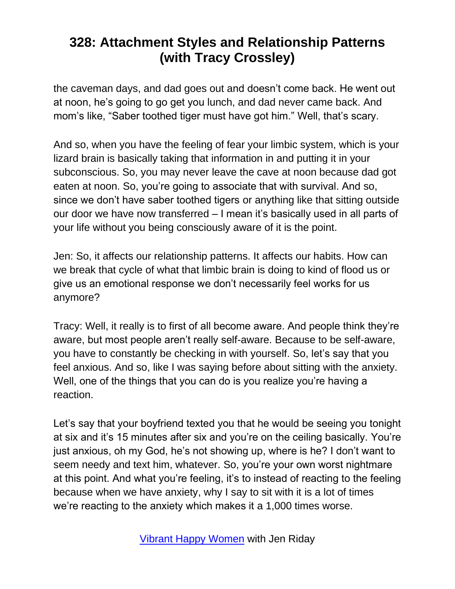the caveman days, and dad goes out and doesn't come back. He went out at noon, he's going to go get you lunch, and dad never came back. And mom's like, "Saber toothed tiger must have got him." Well, that's scary.

And so, when you have the feeling of fear your limbic system, which is your lizard brain is basically taking that information in and putting it in your subconscious. So, you may never leave the cave at noon because dad got eaten at noon. So, you're going to associate that with survival. And so, since we don't have saber toothed tigers or anything like that sitting outside our door we have now transferred – I mean it's basically used in all parts of your life without you being consciously aware of it is the point.

Jen: So, it affects our relationship patterns. It affects our habits. How can we break that cycle of what that limbic brain is doing to kind of flood us or give us an emotional response we don't necessarily feel works for us anymore?

Tracy: Well, it really is to first of all become aware. And people think they're aware, but most people aren't really self-aware. Because to be self-aware, you have to constantly be checking in with yourself. So, let's say that you feel anxious. And so, like I was saying before about sitting with the anxiety. Well, one of the things that you can do is you realize you're having a reaction.

Let's say that your boyfriend texted you that he would be seeing you tonight at six and it's 15 minutes after six and you're on the ceiling basically. You're just anxious, oh my God, he's not showing up, where is he? I don't want to seem needy and text him, whatever. So, you're your own worst nightmare at this point. And what you're feeling, it's to instead of reacting to the feeling because when we have anxiety, why I say to sit with it is a lot of times we're reacting to the anxiety which makes it a 1,000 times worse.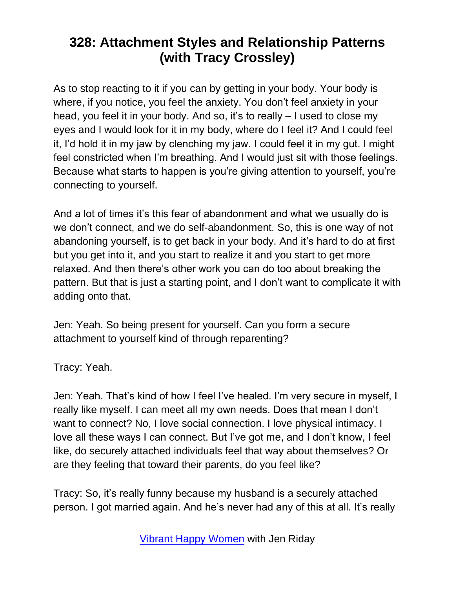As to stop reacting to it if you can by getting in your body. Your body is where, if you notice, you feel the anxiety. You don't feel anxiety in your head, you feel it in your body. And so, it's to really – I used to close my eyes and I would look for it in my body, where do I feel it? And I could feel it, I'd hold it in my jaw by clenching my jaw. I could feel it in my gut. I might feel constricted when I'm breathing. And I would just sit with those feelings. Because what starts to happen is you're giving attention to yourself, you're connecting to yourself.

And a lot of times it's this fear of abandonment and what we usually do is we don't connect, and we do self-abandonment. So, this is one way of not abandoning yourself, is to get back in your body. And it's hard to do at first but you get into it, and you start to realize it and you start to get more relaxed. And then there's other work you can do too about breaking the pattern. But that is just a starting point, and I don't want to complicate it with adding onto that.

Jen: Yeah. So being present for yourself. Can you form a secure attachment to yourself kind of through reparenting?

Tracy: Yeah.

Jen: Yeah. That's kind of how I feel I've healed. I'm very secure in myself, I really like myself. I can meet all my own needs. Does that mean I don't want to connect? No, I love social connection. I love physical intimacy. I love all these ways I can connect. But I've got me, and I don't know, I feel like, do securely attached individuals feel that way about themselves? Or are they feeling that toward their parents, do you feel like?

Tracy: So, it's really funny because my husband is a securely attached person. I got married again. And he's never had any of this at all. It's really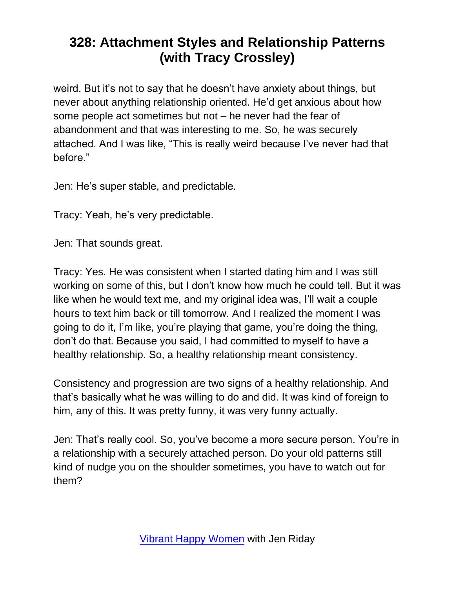weird. But it's not to say that he doesn't have anxiety about things, but never about anything relationship oriented. He'd get anxious about how some people act sometimes but not – he never had the fear of abandonment and that was interesting to me. So, he was securely attached. And I was like, "This is really weird because I've never had that before."

Jen: He's super stable, and predictable.

Tracy: Yeah, he's very predictable.

Jen: That sounds great.

Tracy: Yes. He was consistent when I started dating him and I was still working on some of this, but I don't know how much he could tell. But it was like when he would text me, and my original idea was, I'll wait a couple hours to text him back or till tomorrow. And I realized the moment I was going to do it, I'm like, you're playing that game, you're doing the thing, don't do that. Because you said, I had committed to myself to have a healthy relationship. So, a healthy relationship meant consistency.

Consistency and progression are two signs of a healthy relationship. And that's basically what he was willing to do and did. It was kind of foreign to him, any of this. It was pretty funny, it was very funny actually.

Jen: That's really cool. So, you've become a more secure person. You're in a relationship with a securely attached person. Do your old patterns still kind of nudge you on the shoulder sometimes, you have to watch out for them?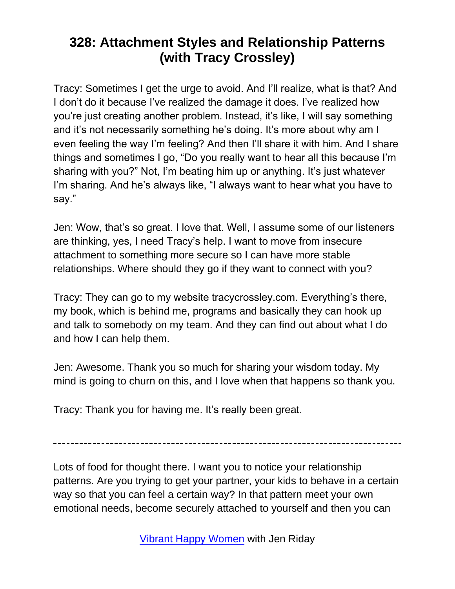Tracy: Sometimes I get the urge to avoid. And I'll realize, what is that? And I don't do it because I've realized the damage it does. I've realized how you're just creating another problem. Instead, it's like, I will say something and it's not necessarily something he's doing. It's more about why am I even feeling the way I'm feeling? And then I'll share it with him. And I share things and sometimes I go, "Do you really want to hear all this because I'm sharing with you?" Not, I'm beating him up or anything. It's just whatever I'm sharing. And he's always like, "I always want to hear what you have to say."

Jen: Wow, that's so great. I love that. Well, I assume some of our listeners are thinking, yes, I need Tracy's help. I want to move from insecure attachment to something more secure so I can have more stable relationships. Where should they go if they want to connect with you?

Tracy: They can go to my website tracycrossley.com. Everything's there, my book, which is behind me, programs and basically they can hook up and talk to somebody on my team. And they can find out about what I do and how I can help them.

Jen: Awesome. Thank you so much for sharing your wisdom today. My mind is going to churn on this, and I love when that happens so thank you.

Tracy: Thank you for having me. It's really been great.

Lots of food for thought there. I want you to notice your relationship patterns. Are you trying to get your partner, your kids to behave in a certain way so that you can feel a certain way? In that pattern meet your own emotional needs, become securely attached to yourself and then you can